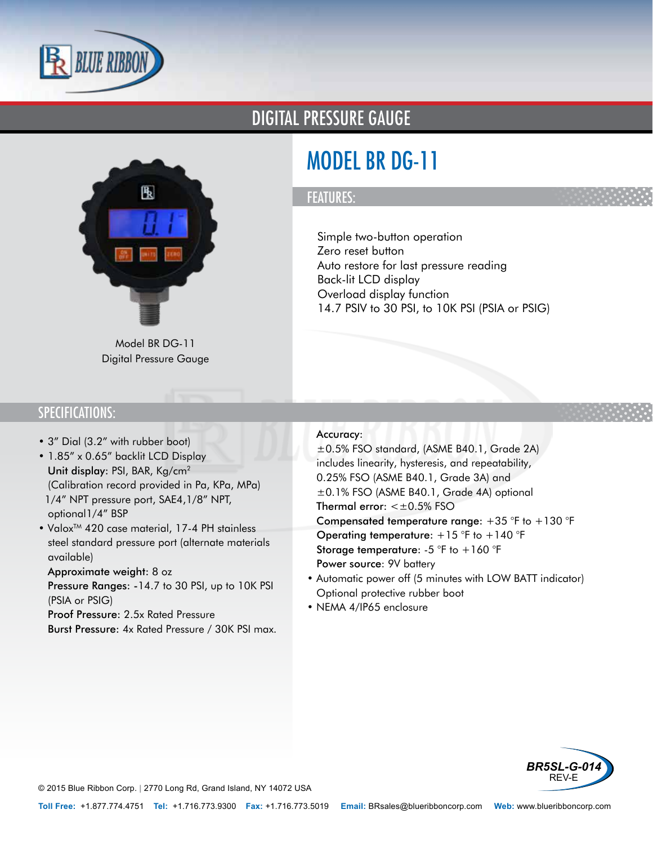

### DIGITAL PRESSURE GAUGE



# MODEL BR DG-11

#### FEATURES:

• Simple two-button operation

- Zero reset button
- Auto restore for last pressure reading
- Back-lit LCD display
- Overload display function
- 14.7 PSIV to 30 PSI, to 10K PSI (PSIA or PSIG)

Model BR DG-11 Digital Pressure Gauge

#### SPECIFICATIONS:

- 3" Dial (3.2" with rubber boot)
- 1.85" x 0.65" backlit LCD Display
- Unit display: PSI, BAR, Kg/cm<sup>2</sup> (Calibration record provided in Pa, KPa, MPa)
- •1/4" NPT pressure port, SAE4,1/8" NPT, optional1/4" BSP
- Valox<sup>™</sup> 420 case material, 17-4 PH stainless steel standard pressure port (alternate materials available)
- Approximate weight: 8 oz
- Pressure Ranges: -14.7 to 30 PSI, up to 10K PSI (PSIA or PSIG)
- Proof Pressure: 2.5x Rated Pressure
- Burst Pressure: 4x Rated Pressure / 30K PSI max.

• Accuracy:

±0.5% FSO standard, (ASME B40.1, Grade 2A) includes linearity, hysteresis, and repeatability, 0.25% FSO (ASME B40.1, Grade 3A) and ±0.1% FSO (ASME B40.1, Grade 4A) optional

- Thermal error: < $\pm$ 0.5% FSO
- Compensated temperature range:  $+35$  °F to  $+130$  °F
- Operating temperature:  $+15$  °F to  $+140$  °F
- Storage temperature:  $-5$  °F to  $+160$  °F
- Power source: 9V battery
- Automatic power off (5 minutes with LOW BATT indicator)
- Optional protective rubber boot
- NEMA 4/IP65 enclosure



© 2015 Blue Ribbon Corp. *<sup>|</sup>* 2770 Long Rd, Grand Island, NY 14072 USA